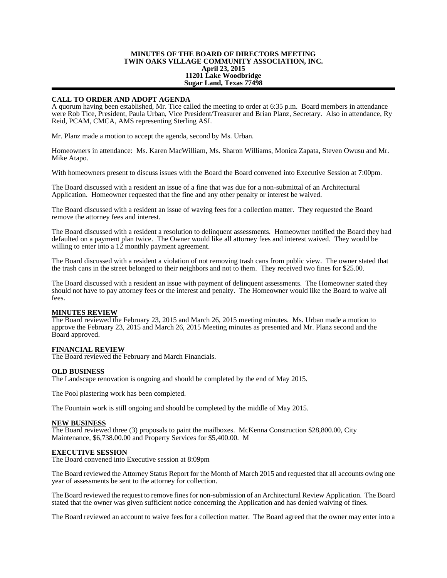# **MINUTES OF THE BOARD OF DIRECTORS MEETING TWIN OAKS VILLAGE COMMUNITY ASSOCIATION, INC. April 23, 2015 11201 Lake Woodbridge Sugar Land, Texas 77498**

# **CALL TO ORDER AND ADOPT AGENDA**

A quorum having been established, Mr. Tice called the meeting to order at 6:35 p.m. Board members in attendance were Rob Tice, President, Paula Urban, Vice President/Treasurer and Brian Planz, Secretary. Also in attendance, Ry Reid, PCAM, CMCA, AMS representing Sterling ASI.

Mr. Planz made a motion to accept the agenda, second by Ms. Urban.

Homeowners in attendance: Ms. Karen MacWilliam, Ms. Sharon Williams, Monica Zapata, Steven Owusu and Mr. Mike Atapo.

With homeowners present to discuss issues with the Board the Board convened into Executive Session at 7:00pm.

The Board discussed with a resident an issue of a fine that was due for a non-submittal of an Architectural Application. Homeowner requested that the fine and any other penalty or interest be waived.

The Board discussed with a resident an issue of waving fees for a collection matter. They requested the Board remove the attorney fees and interest.

The Board discussed with a resident a resolution to delinquent assessments. Homeowner notified the Board they had defaulted on a payment plan twice. The Owner would like all attorney fees and interest waived. They would be willing to enter into a 12 monthly payment agreement.

The Board discussed with a resident a violation of not removing trash cans from public view. The owner stated that the trash cans in the street belonged to their neighbors and not to them. They received two fines for \$25.00.

The Board discussed with a resident an issue with payment of delinquent assessments. The Homeowner stated they should not have to pay attorney fees or the interest and penalty. The Homeowner would like the Board to waive all fees.

### **MINUTES REVIEW**

The Board reviewed the February 23, 2015 and March 26, 2015 meeting minutes. Ms. Urban made a motion to approve the February 23, 2015 and March 26, 2015 Meeting minutes as presented and Mr. Planz second and the Board approved.

### **FINANCIAL REVIEW**

The Board reviewed the February and March Financials.

### **OLD BUSINESS**

The Landscape renovation is ongoing and should be completed by the end of May 2015.

The Pool plastering work has been completed.

The Fountain work is still ongoing and should be completed by the middle of May 2015.

### **NEW BUSINESS**

The Board reviewed three (3) proposals to paint the mailboxes. McKenna Construction \$28,800.00, City Maintenance, \$6,738.00.00 and Property Services for \$5,400.00. M

### **EXECUTIVE SESSION**

The Board convened into Executive session at 8:09pm

The Board reviewed the Attorney Status Report for the Month of March 2015 and requested that all accounts owing one year of assessments be sent to the attorney for collection.

The Board reviewed the request to remove fines for non-submission of an Architectural Review Application. The Board stated that the owner was given sufficient notice concerning the Application and has denied waiving of fines.

The Board reviewed an account to waive fees for a collection matter. The Board agreed that the owner may enter into a